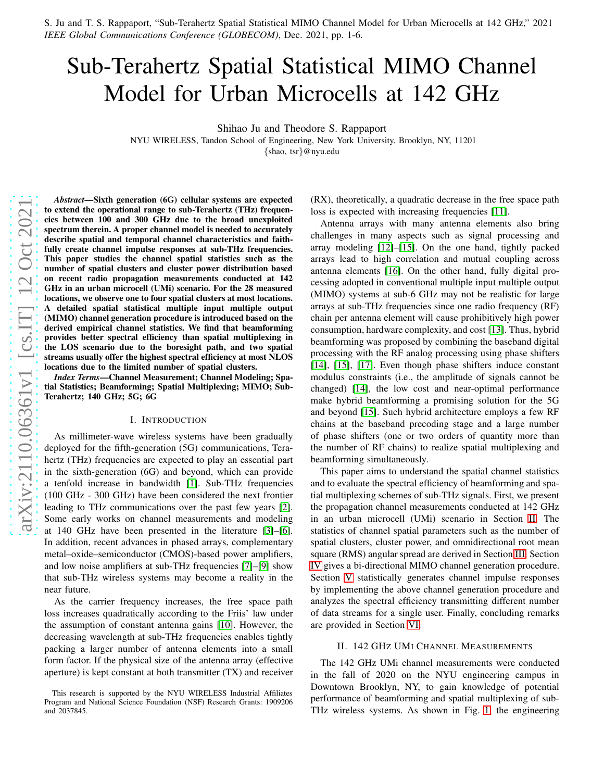S. Ju and T. S. Rappaport, "Sub-Terahertz Spatial Statistical MIMO Channel Model for Urban Microcells at 142 GHz," 2021 *IEEE Global Communications Conference (GLOBECOM)*, Dec. 2021, pp. 1-6.

# Sub-Terahertz Spatial Statistical MIMO Channel Model for Urban Microcells at 142 GHz

Shihao Ju and Theodore S. Rappaport

NYU WIRELESS, Tandon School of Engineering, New York University, Brooklyn, NY, 11201

{shao, tsr}@nyu.edu

*Abstract*—Sixth generation (6G) cellular systems are expected to extend the operational range to sub-Terahertz (THz) frequencies between 100 and 300 GHz due to the broad unexploited spectrum therein. A proper channel model is needed to accurately describe spatial and temporal channel characteristics and faithfully create channel impulse responses at sub-THz frequencies. This paper studies the channel spatial statistics such as th e number of spatial clusters and cluster power distribution based on recent radio propagation measurements conducted at 142 GHz in an urban microcell (UMi) scenario. For the 28 measured locations, we observe one to four spatial clusters at most locations. A detailed spatial statistical multiple input multiple output (MIMO) channel generation procedure is introduced based on the derived empirical channel statistics. We find that beamforming provides better spectral efficiency than spatial multiplexing in the LOS scenario due to the boresight path, and two spatial streams usually offer the highest spectral efficiency at most NLOS locations due to the limited number of spatial clusters.

*Index Terms*—Channel Measurement; Channel Modeling; Spatial Statistics; Beamforming; Spatial Multiplexing; MIMO; Sub-Terahertz; 140 GHz; 5G; 6G

#### I. INTRODUCTION

As millimeter-wave wireless systems have been gradually deployed for the fifth-generation (5G) communications, Terahertz (THz) frequencies are expected to play an essential part in the sixth-generation (6G) and beyond, which can provide a tenfold increase in bandwidth [\[1\]](#page-5-0). Sub-THz frequencies (100 GHz - 300 GHz) have been considered the next frontier leading to THz communications over the past few years [\[2\]](#page-5-1). Some early works on channel measurements and modeling at 140 GHz have been presented in the literature [\[3\]](#page-5-2)–[\[6\]](#page-5-3). In addition, recent advances in phased arrays, complementary metal–oxide–semiconductor (CMOS)-based power amplifiers , and low noise amplifiers at sub-THz frequencies [\[7\]](#page-5-4)–[\[9\]](#page-5-5) show that sub-THz wireless systems may become a reality in the near future.

As the carrier frequency increases, the free space path loss increases quadratically according to the Friis' law under the assumption of constant antenna gains [\[10\]](#page-5-6). However, the decreasing wavelength at sub-THz frequencies enables tightly packing a larger number of antenna elements into a small form factor. If the physical size of the antenna array (effective aperture) is kept constant at both transmitter (TX) and receiver (RX), theoretically, a quadratic decrease in the free space path loss is expected with increasing frequencies [\[11\]](#page-5-7).

Antenna arrays with many antenna elements also bring challenges in many aspects such as signal processing and array modeling [\[12\]](#page-5-8)–[\[15\]](#page-5-9). On the one hand, tightly packed arrays lead to high correlation and mutual coupling across antenna elements [\[16\]](#page-5-10). On the other hand, fully digital processing adopted in conventional multiple input multiple output (MIMO) systems at sub-6 GHz may not be realistic for large arrays at sub-THz frequencies since one radio frequency (RF ) chain per antenna element will cause prohibitively high power consumption, hardware complexity, and cost [\[13\]](#page-5-11). Thus, hybrid beamforming was proposed by combining the baseband digital processing with the RF analog processing using phase shifters [\[14\]](#page-5-12), [\[15\]](#page-5-9), [\[17\]](#page-5-13). Even though phase shifters induce constant modulus constraints (i.e., the amplitude of signals cannot be changed) [\[14\]](#page-5-12), the low cost and near-optimal performance make hybrid beamforming a promising solution for the 5G and beyond [\[15\]](#page-5-9). Such hybrid architecture employs a few RF chains at the baseband precoding stage and a large number of phase shifters (one or two orders of quantity more than the number of RF chains) to realize spatial multiplexing and beamforming simultaneously.

This paper aims to understand the spatial channel statistics and to evaluate the spectral efficiency of beamforming and spatial multiplexing schemes of sub-THz signals. First, we present the propagation channel measurements conducted at 142 GHz in an urban microcell (UMi) scenario in Section [II.](#page-0-0) The statistics of channel spatial parameters such as the number of spatial clusters, cluster power, and omnidirectional root mean square (RMS) angular spread are derived in Section [III.](#page-1-0) Section [IV](#page-3-0) gives a bi-directional MIMO channel generation procedure. Section [V](#page-4-0) statistically generates channel impulse responses by implementing the above channel generation procedure and analyzes the spectral efficiency transmitting different number of data streams for a single user. Finally, concluding remarks are provided in Section [VI.](#page-5-14)

#### <span id="page-0-0"></span>II. 142 GH Z UM I CHANNEL MEASUREMENTS

The 142 GHz UMi channel measurements were conducted in the fall of 2020 on the NYU engineering campus in Downtown Brooklyn, NY, to gain knowledge of potential performance of beamforming and spatial multiplexing of sub - THz wireless systems. As shown in Fig. [1,](#page-1-1) the engineering

This research is supported by the NYU WIRELESS Industrial Affiliates Program and National Science Foundation (NSF) Research Grants: 1909206 and 2037845.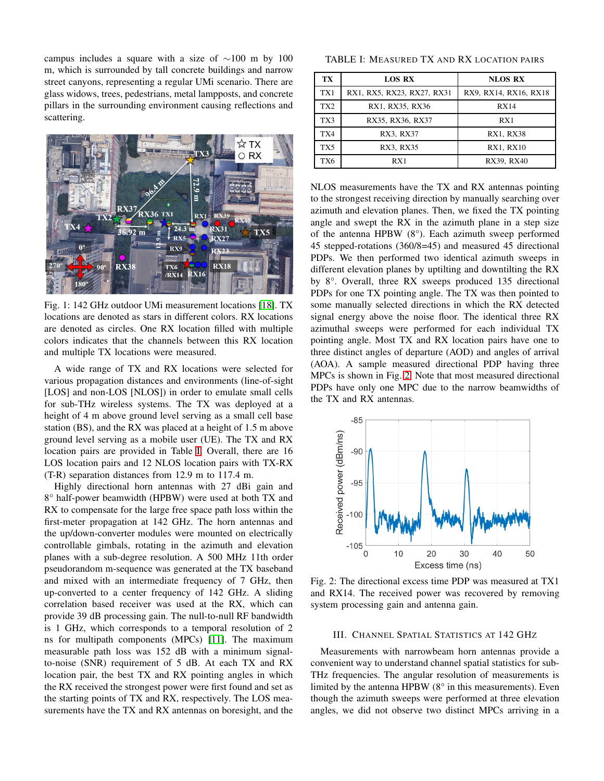campus includes a square with a size of ∼100 m by 100 m, which is surrounded by tall concrete buildings and narrow street canyons, representing a regular UMi scenario. There are glass widows, trees, pedestrians, metal lampposts, and concrete pillars in the surrounding environment causing reflections and scattering.

<span id="page-1-1"></span>

Fig. 1: 142 GHz outdoor UMi measurement locations [\[18\]](#page-5-15). TX locations are denoted as stars in different colors. RX locations are denoted as circles. One RX location filled with multiple colors indicates that the channels between this RX location and multiple TX locations were measured.

A wide range of TX and RX locations were selected for various propagation distances and environments (line-of-sight [LOS] and non-LOS [NLOS]) in order to emulate small cells for sub-THz wireless systems. The TX was deployed at a height of 4 m above ground level serving as a small cell base station (BS), and the RX was placed at a height of 1.5 m above ground level serving as a mobile user (UE). The TX and RX location pairs are provided in Table [I.](#page-1-2) Overall, there are 16 LOS location pairs and 12 NLOS location pairs with TX-RX (T-R) separation distances from 12.9 m to 117.4 m.

Highly directional horn antennas with 27 dBi gain and 8° half-power beamwidth (HPBW) were used at both TX and RX to compensate for the large free space path loss within the first-meter propagation at 142 GHz. The horn antennas and the up/down-converter modules were mounted on electrically controllable gimbals, rotating in the azimuth and elevation planes with a sub-degree resolution. A 500 MHz 11th order pseudorandom m-sequence was generated at the TX baseband and mixed with an intermediate frequency of 7 GHz, then up-converted to a center frequency of 142 GHz. A sliding correlation based receiver was used at the RX, which can provide 39 dB processing gain. The null-to-null RF bandwidth is 1 GHz, which corresponds to a temporal resolution of 2 ns for multipath components (MPCs) [\[11\]](#page-5-7). The maximum measurable path loss was 152 dB with a minimum signalto-noise (SNR) requirement of 5 dB. At each TX and RX location pair, the best TX and RX pointing angles in which the RX received the strongest power were first found and set as the starting points of TX and RX, respectively. The LOS measurements have the TX and RX antennas on boresight, and the

<span id="page-1-2"></span>TABLE I: MEASURED TX AND RX LOCATION PAIRS

| ТX              | <b>LOS RX</b>              | <b>NLOS RX</b>        |
|-----------------|----------------------------|-----------------------|
| TX1             | RX1, RX5, RX23, RX27, RX31 | RX9, RX14, RX16, RX18 |
| TX <sub>2</sub> | RX1, RX35, RX36            | RX14                  |
| TX3             | RX35, RX36, RX37           | RX1                   |
| TX4             | RX3, RX37                  | <b>RX1, RX38</b>      |
| TX <sub>5</sub> | RX3. RX35                  | RX1, RX10             |
| TX6             | R X 1                      | RX39, RX40            |

NLOS measurements have the TX and RX antennas pointing to the strongest receiving direction by manually searching over azimuth and elevation planes. Then, we fixed the TX pointing angle and swept the RX in the azimuth plane in a step size of the antenna HPBW (8°). Each azimuth sweep performed 45 stepped-rotations (360/8=45) and measured 45 directional PDPs. We then performed two identical azimuth sweeps in different elevation planes by uptilting and downtilting the RX by 8°. Overall, three RX sweeps produced 135 directional PDPs for one TX pointing angle. The TX was then pointed to some manually selected directions in which the RX detected signal energy above the noise floor. The identical three RX azimuthal sweeps were performed for each individual TX pointing angle. Most TX and RX location pairs have one to three distinct angles of departure (AOD) and angles of arrival (AOA). A sample measured directional PDP having three MPCs is shown in Fig. [2.](#page-1-3) Note that most measured directional PDPs have only one MPC due to the narrow beamwidths of the TX and RX antennas.

<span id="page-1-3"></span>

Fig. 2: The directional excess time PDP was measured at TX1 and RX14. The received power was recovered by removing system processing gain and antenna gain.

#### <span id="page-1-0"></span>III. CHANNEL SPATIAL STATISTICS AT 142 GHZ

Measurements with narrowbeam horn antennas provide a convenient way to understand channel spatial statistics for sub-THz frequencies. The angular resolution of measurements is limited by the antenna HPBW (8° in this measurements). Even though the azimuth sweeps were performed at three elevation angles, we did not observe two distinct MPCs arriving in a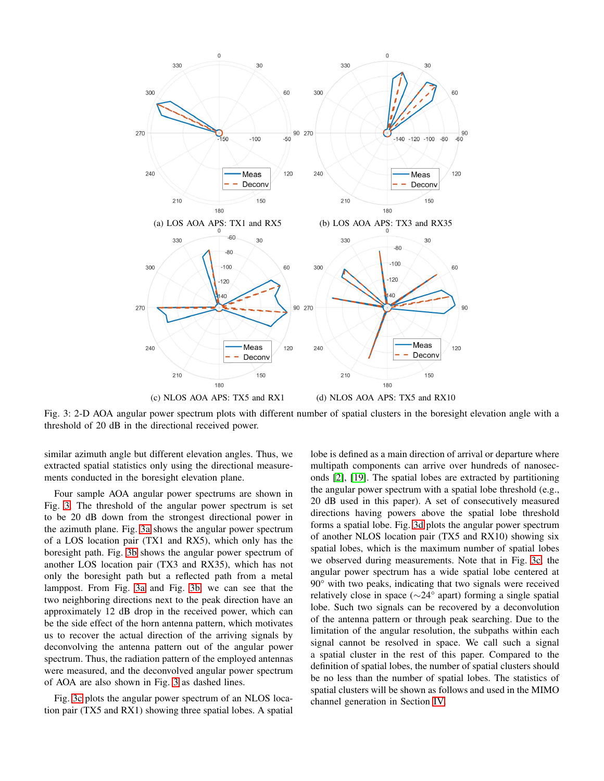<span id="page-2-0"></span>

Fig. 3: 2-D AOA angular power spectrum plots with different number of spatial clusters in the boresight elevation angle with a threshold of 20 dB in the directional received power.

similar azimuth angle but different elevation angles. Thus, we extracted spatial statistics only using the directional measurements conducted in the boresight elevation plane.

Four sample AOA angular power spectrums are shown in Fig. [3.](#page-2-0) The threshold of the angular power spectrum is set to be 20 dB down from the strongest directional power in the azimuth plane. Fig. [3a](#page-2-0) shows the angular power spectrum of a LOS location pair (TX1 and RX5), which only has the boresight path. Fig. [3b](#page-2-0) shows the angular power spectrum of another LOS location pair (TX3 and RX35), which has not only the boresight path but a reflected path from a metal lamppost. From Fig. [3a](#page-2-0) and Fig. [3b,](#page-2-0) we can see that the two neighboring directions next to the peak direction have an approximately 12 dB drop in the received power, which can be the side effect of the horn antenna pattern, which motivates us to recover the actual direction of the arriving signals by deconvolving the antenna pattern out of the angular power spectrum. Thus, the radiation pattern of the employed antennas were measured, and the deconvolved angular power spectrum of AOA are also shown in Fig. [3](#page-2-0) as dashed lines.

Fig. [3c](#page-2-0) plots the angular power spectrum of an NLOS location pair (TX5 and RX1) showing three spatial lobes. A spatial lobe is defined as a main direction of arrival or departure where multipath components can arrive over hundreds of nanoseconds [\[2\]](#page-5-1), [\[19\]](#page-5-16). The spatial lobes are extracted by partitioning the angular power spectrum with a spatial lobe threshold (e.g., 20 dB used in this paper). A set of consecutively measured directions having powers above the spatial lobe threshold forms a spatial lobe. Fig. [3d](#page-2-0) plots the angular power spectrum of another NLOS location pair (TX5 and RX10) showing six spatial lobes, which is the maximum number of spatial lobes we observed during measurements. Note that in Fig. [3c,](#page-2-0) the angular power spectrum has a wide spatial lobe centered at 90° with two peaks, indicating that two signals were received relatively close in space (∼24° apart) forming a single spatial lobe. Such two signals can be recovered by a deconvolution of the antenna pattern or through peak searching. Due to the limitation of the angular resolution, the subpaths within each signal cannot be resolved in space. We call such a signal a spatial cluster in the rest of this paper. Compared to the definition of spatial lobes, the number of spatial clusters should be no less than the number of spatial lobes. The statistics of spatial clusters will be shown as follows and used in the MIMO channel generation in Section [IV.](#page-3-0)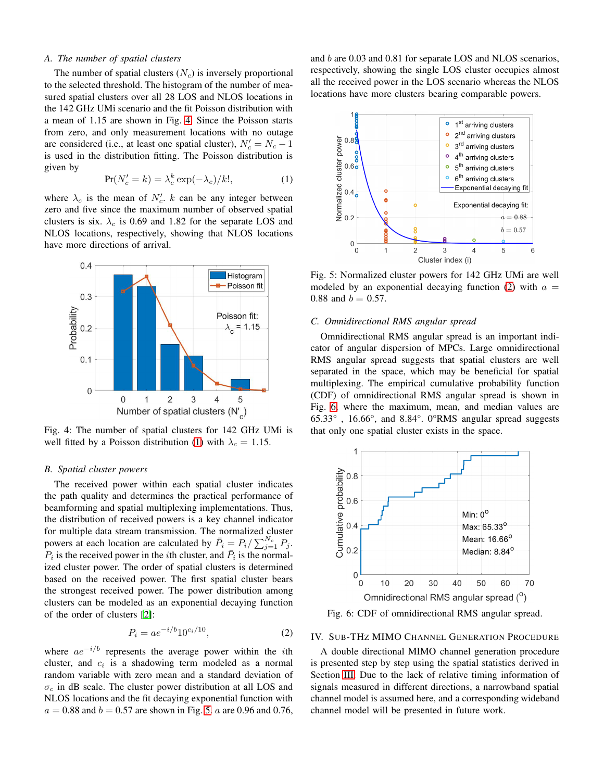## *A. The number of spatial clusters*

The number of spatial clusters  $(N_c)$  is inversely proportional to the selected threshold. The histogram of the number of measured spatial clusters over all 28 LOS and NLOS locations in the 142 GHz UMi scenario and the fit Poisson distribution with a mean of 1.15 are shown in Fig. [4.](#page-3-1) Since the Poisson starts from zero, and only measurement locations with no outage are considered (i.e., at least one spatial cluster),  $N_c' = N_c - 1$ is used in the distribution fitting. The Poisson distribution is given by

<span id="page-3-2"></span>
$$
Pr(N_c' = k) = \lambda_c^k \exp(-\lambda_c)/k!,
$$
 (1)

where  $\lambda_c$  is the mean of  $N_c'$ . k can be any integer between zero and five since the maximum number of observed spatial clusters is six.  $\lambda_c$  is 0.69 and 1.82 for the separate LOS and NLOS locations, respectively, showing that NLOS locations have more directions of arrival.

<span id="page-3-1"></span>

Fig. 4: The number of spatial clusters for 142 GHz UMi is well fitted by a Poisson distribution [\(1\)](#page-3-2) with  $\lambda_c = 1.15$ .

### *B. Spatial cluster powers*

The received power within each spatial cluster indicates the path quality and determines the practical performance of beamforming and spatial multiplexing implementations. Thus, the distribution of received powers is a key channel indicator for multiple data stream transmission. The normalized cluster powers at each location are calculated by  $\bar{P}_i = P_i / \sum_{j=1}^{N_c} P_j$ .  $P_i$  is the received power in the *i*th cluster, and  $\bar{P}_i$  is the normalized cluster power. The order of spatial clusters is determined based on the received power. The first spatial cluster bears the strongest received power. The power distribution among clusters can be modeled as an exponential decaying function of the order of clusters [\[2\]](#page-5-1):

<span id="page-3-4"></span>
$$
P_i = ae^{-i/b}10^{c_i/10},\tag{2}
$$

where  $ae^{-i/b}$  represents the average power within the *i*th cluster, and  $c_i$  is a shadowing term modeled as a normal random variable with zero mean and a standard deviation of  $\sigma_c$  in dB scale. The cluster power distribution at all LOS and NLOS locations and the fit decaying exponential function with  $a = 0.88$  and  $b = 0.57$  are shown in Fig. [5.](#page-3-3) a are 0.96 and 0.76, and b are 0.03 and 0.81 for separate LOS and NLOS scenarios, respectively, showing the single LOS cluster occupies almost all the received power in the LOS scenario whereas the NLOS locations have more clusters bearing comparable powers.

<span id="page-3-3"></span>

Fig. 5: Normalized cluster powers for 142 GHz UMi are well modeled by an exponential decaying function [\(2\)](#page-3-4) with  $a =$ 0.88 and  $b = 0.57$ .

### *C. Omnidirectional RMS angular spread*

Omnidirectional RMS angular spread is an important indicator of angular dispersion of MPCs. Large omnidirectional RMS angular spread suggests that spatial clusters are well separated in the space, which may be beneficial for spatial multiplexing. The empirical cumulative probability function (CDF) of omnidirectional RMS angular spread is shown in Fig. [6,](#page-3-5) where the maximum, mean, and median values are 65.33° , 16.66°, and 8.84°. 0°RMS angular spread suggests that only one spatial cluster exists in the space.

<span id="page-3-5"></span>

Fig. 6: CDF of omnidirectional RMS angular spread.

# <span id="page-3-0"></span>IV. SUB-THZ MIMO CHANNEL GENERATION PROCEDURE

A double directional MIMO channel generation procedure is presented step by step using the spatial statistics derived in Section [III.](#page-1-0) Due to the lack of relative timing information of signals measured in different directions, a narrowband spatial channel model is assumed here, and a corresponding wideband channel model will be presented in future work.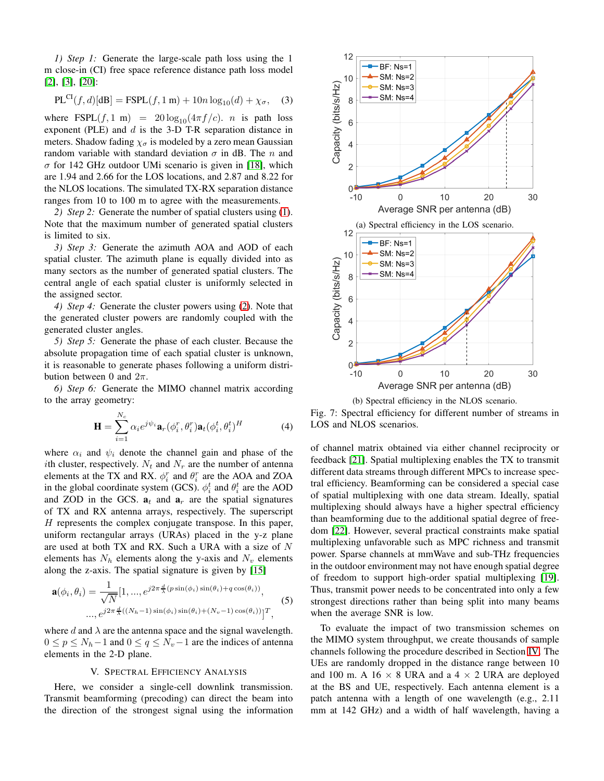*1) Step 1:* Generate the large-scale path loss using the 1 m close-in (CI) free space reference distance path loss model [\[2\]](#page-5-1), [\[3\]](#page-5-2), [\[20\]](#page-5-17):

$$
PL^{CI}(f, d)[dB] = FSPL(f, 1 m) + 10n \log_{10}(d) + \chi_{\sigma}, \quad (3)
$$

where FSPL( $f$ , 1 m) =  $20 \log_{10}(4\pi f/c)$ . *n* is path loss exponent (PLE) and  $d$  is the 3-D T-R separation distance in meters. Shadow fading  $\chi_{\sigma}$  is modeled by a zero mean Gaussian random variable with standard deviation  $\sigma$  in dB. The n and  $\sigma$  for 142 GHz outdoor UMi scenario is given in [\[18\]](#page-5-15), which are 1.94 and 2.66 for the LOS locations, and 2.87 and 8.22 for the NLOS locations. The simulated TX-RX separation distance ranges from 10 to 100 m to agree with the measurements.

*2) Step 2:* Generate the number of spatial clusters using [\(1\)](#page-3-2). Note that the maximum number of generated spatial clusters is limited to six.

*3) Step 3:* Generate the azimuth AOA and AOD of each spatial cluster. The azimuth plane is equally divided into as many sectors as the number of generated spatial clusters. The central angle of each spatial cluster is uniformly selected in the assigned sector.

*4) Step 4:* Generate the cluster powers using [\(2\)](#page-3-4). Note that the generated cluster powers are randomly coupled with the generated cluster angles.

*5) Step 5:* Generate the phase of each cluster. Because the absolute propagation time of each spatial cluster is unknown, it is reasonable to generate phases following a uniform distribution between 0 and  $2\pi$ .

*6) Step 6:* Generate the MIMO channel matrix according to the array geometry:

$$
\mathbf{H} = \sum_{i=1}^{N_c} \alpha_i e^{j\psi_i} \mathbf{a}_r(\phi_i^r, \theta_i^r) \mathbf{a}_t(\phi_i^t, \theta_i^t)^H
$$
(4)

where  $\alpha_i$  and  $\psi_i$  denote the channel gain and phase of the *i*th cluster, respectively.  $N_t$  and  $N_r$  are the number of antenna elements at the TX and RX.  $\phi_i^r$  and  $\theta_i^r$  are the AOA and ZOA in the global coordinate system (GCS).  $\phi_i^t$  and  $\theta_i^t$  are the AOD and ZOD in the GCS.  $a_t$  and  $a_r$  are the spatial signatures of TX and RX antenna arrays, respectively. The superscript  $H$  represents the complex conjugate transpose. In this paper, uniform rectangular arrays (URAs) placed in the y-z plane are used at both TX and RX. Such a URA with a size of N elements has  $N_h$  elements along the y-axis and  $N_v$  elements along the z-axis. The spatial signature is given by [\[15\]](#page-5-9)

$$
\mathbf{a}(\phi_i, \theta_i) = \frac{1}{\sqrt{N}} [1, ..., e^{j2\pi \frac{d}{\lambda}(p\sin(\phi_i)\sin(\theta_i) + q\cos(\theta_i))},
$$
  
...,  $e^{j2\pi \frac{d}{\lambda}((N_h - 1)\sin(\phi_i)\sin(\theta_i) + (N_v - 1)\cos(\theta_i))}]^T$ , (5)

where d and  $\lambda$  are the antenna space and the signal wavelength.  $0 \le p \le N_h-1$  and  $0 \le q \le N_v-1$  are the indices of antenna elements in the 2-D plane.

#### V. SPECTRAL EFFICIENCY ANALYSIS

<span id="page-4-0"></span>Here, we consider a single-cell downlink transmission. Transmit beamforming (precoding) can direct the beam into the direction of the strongest signal using the information

<span id="page-4-1"></span>

(b) Spectral efficiency in the NLOS scenario.

Fig. 7: Spectral efficiency for different number of streams in LOS and NLOS scenarios.

of channel matrix obtained via either channel reciprocity or feedback [\[21\]](#page-5-18). Spatial multiplexing enables the TX to transmit different data streams through different MPCs to increase spectral efficiency. Beamforming can be considered a special case of spatial multiplexing with one data stream. Ideally, spatial multiplexing should always have a higher spectral efficiency than beamforming due to the additional spatial degree of freedom [\[22\]](#page-5-19). However, several practical constraints make spatial multiplexing unfavorable such as MPC richness and transmit power. Sparse channels at mmWave and sub-THz frequencies in the outdoor environment may not have enough spatial degree of freedom to support high-order spatial multiplexing [\[19\]](#page-5-16). Thus, transmit power needs to be concentrated into only a few strongest directions rather than being split into many beams when the average SNR is low.

To evaluate the impact of two transmission schemes on the MIMO system throughput, we create thousands of sample channels following the procedure described in Section [IV.](#page-3-0) The UEs are randomly dropped in the distance range between 10 and 100 m. A 16  $\times$  8 URA and a 4  $\times$  2 URA are deployed at the BS and UE, respectively. Each antenna element is a patch antenna with a length of one wavelength (e.g., 2.11 mm at 142 GHz) and a width of half wavelength, having a